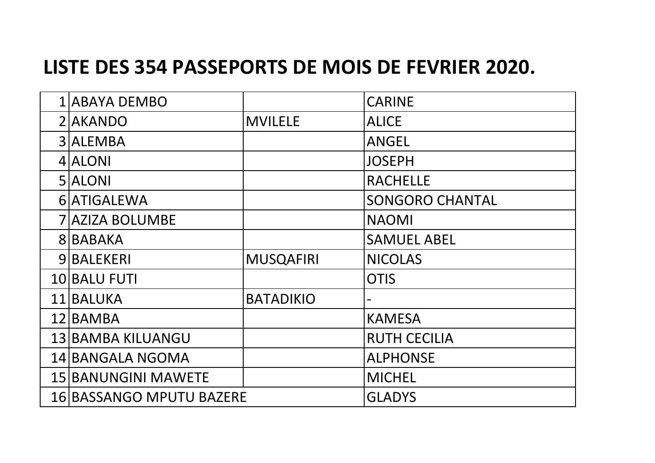## **LISTE DES 354 PASSEPORTS DE MOIS DE FEVRIER 2020.**

| 1 ABAYA DEMBO                   |                  | <b>CARINE</b>          |
|---------------------------------|------------------|------------------------|
| 2 AKANDO                        | <b>MVILELE</b>   | <b>ALICE</b>           |
| 3 ALEMBA                        |                  | <b>ANGEL</b>           |
| 4 ALONI                         |                  | <b>JOSEPH</b>          |
| 5 ALONI                         |                  | <b>RACHELLE</b>        |
| 6 ATIGALEWA                     |                  | <b>SONGORO CHANTAL</b> |
| <b>7 AZIZA BOLUMBE</b>          |                  | <b>NAOMI</b>           |
| 8 BABAKA                        |                  | <b>SAMUEL ABEL</b>     |
| 9 BALEKERI                      | <b>MUSQAFIRI</b> | <b>NICOLAS</b>         |
| 10 BALU FUTI                    |                  | <b>OTIS</b>            |
| 11 BALUKA                       | <b>BATADIKIO</b> |                        |
| 12 BAMBA                        |                  | <b>KAMESA</b>          |
| <b>13 BAMBA KILUANGU</b>        |                  | <b>RUTH CECILIA</b>    |
| 14 BANGALA NGOMA                |                  | <b>ALPHONSE</b>        |
| <b>15 BANUNGINI MAWETE</b>      |                  | <b>MICHEL</b>          |
| <b>16 BASSANGO MPUTU BAZERE</b> |                  | <b>GLADYS</b>          |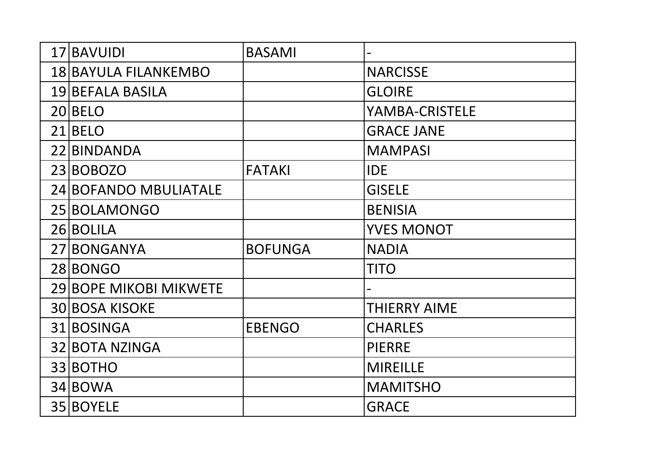| 17 BAVUIDI                  | <b>BASAMI</b>  |                     |
|-----------------------------|----------------|---------------------|
| <b>18 BAYULA FILANKEMBO</b> |                | <b>NARCISSE</b>     |
| 19 BEFALA BASILA            |                | <b>GLOIRE</b>       |
| 20 BELO                     |                | YAMBA-CRISTELE      |
| 21 BELO                     |                | <b>GRACE JANE</b>   |
| 22 BINDANDA                 |                | <b>MAMPASI</b>      |
| 23 BOBOZO                   | <b>FATAKI</b>  | <b>IDE</b>          |
| 24 BOFANDO MBULIATALE       |                | <b>GISELE</b>       |
| 25 BOLAMONGO                |                | <b>BENISIA</b>      |
| 26 BOLILA                   |                | <b>YVES MONOT</b>   |
| 27 BONGANYA                 | <b>BOFUNGA</b> | <b>NADIA</b>        |
| 28 BONGO                    |                | <b>TITO</b>         |
| 29 BOPE MIKOBI MIKWETE      |                |                     |
| <b>30 BOSA KISOKE</b>       |                | <b>THIERRY AIME</b> |
| 31 BOSINGA                  | <b>EBENGO</b>  | <b>CHARLES</b>      |
| <b>32 BOTA NZINGA</b>       |                | <b>PIERRE</b>       |
| 33 BOTHO                    |                | <b>MIREILLE</b>     |
| 34 BOWA                     |                | <b>MAMITSHO</b>     |
| 35   BOYELE                 |                | <b>GRACE</b>        |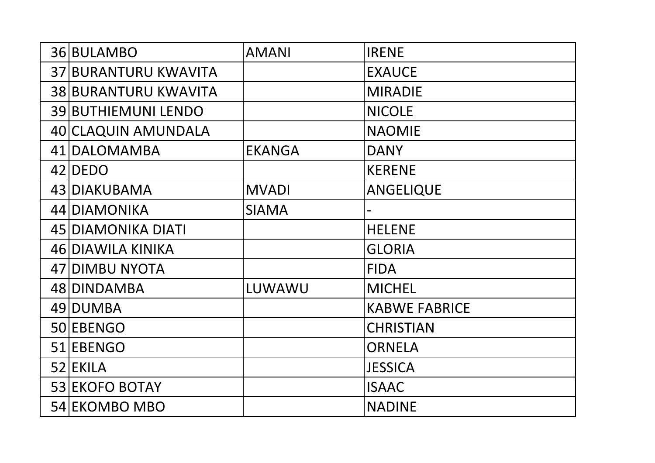| 36 BULAMBO                  | <b>AMANI</b>  | <b>IRENE</b>         |
|-----------------------------|---------------|----------------------|
| <b>37 BURANTURU KWAVITA</b> |               | <b>EXAUCE</b>        |
| 38 BURANTURU KWAVITA        |               | <b>MIRADIE</b>       |
| <b>39 BUTHIEMUNI LENDO</b>  |               | <b>NICOLE</b>        |
| 40 CLAQUIN AMUNDALA         |               | <b>NAOMIE</b>        |
| 41 DALOMAMBA                | <b>EKANGA</b> | <b>DANY</b>          |
| 42 DEDO                     |               | <b>KERENE</b>        |
| 43 DIAKUBAMA                | <b>MVADI</b>  | <b>ANGELIQUE</b>     |
| 44 DIAMONIKA                | <b>SIAMA</b>  |                      |
| <b>45 DIAMONIKA DIATI</b>   |               | <b>HELENE</b>        |
| 46 DIAWILA KINIKA           |               | <b>GLORIA</b>        |
| 47 DIMBU NYOTA              |               | <b>FIDA</b>          |
| 48 DINDAMBA                 | LUWAWU        | <b>MICHEL</b>        |
| 49 DUMBA                    |               | <b>KABWE FABRICE</b> |
| 50 EBENGO                   |               | <b>CHRISTIAN</b>     |
| 51 EBENGO                   |               | <b>ORNELA</b>        |
| 52 EKILA                    |               | <b>JESSICA</b>       |
| 53 EKOFO BOTAY              |               | <b>ISAAC</b>         |
| 54 EKOMBO MBO               |               | <b>NADINE</b>        |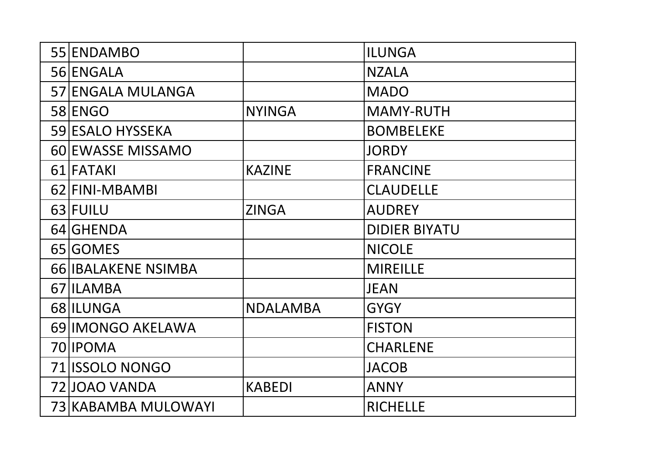| 55 ENDAMBO              |                 | <b>ILUNGA</b>        |
|-------------------------|-----------------|----------------------|
| 56 ENGALA               |                 | <b>NZALA</b>         |
| 57 ENGALA MULANGA       |                 | <b>MADO</b>          |
| 58 ENGO                 | <b>NYINGA</b>   | <b>MAMY-RUTH</b>     |
| <b>59 ESALO HYSSEKA</b> |                 | <b>BOMBELEKE</b>     |
| 60 EWASSE MISSAMO       |                 | <b>JORDY</b>         |
| 61 FATAKI               | <b>KAZINE</b>   | <b>FRANCINE</b>      |
| 62 FINI-MBAMBI          |                 | <b>CLAUDELLE</b>     |
| 63 FUILU                | <b>ZINGA</b>    | <b>AUDREY</b>        |
| 64 GHENDA               |                 | <b>DIDIER BIYATU</b> |
| 65 GOMES                |                 | <b>NICOLE</b>        |
| 66 IBALAKENE NSIMBA     |                 | <b>MIREILLE</b>      |
| 67 ILAMBA               |                 | <b>JEAN</b>          |
| 68 ILUNGA               | <b>NDALAMBA</b> | <b>GYGY</b>          |
| 69 IMONGO AKELAWA       |                 | <b>FISTON</b>        |
| 70 IPOMA                |                 | <b>CHARLENE</b>      |
| 71 ISSOLO NONGO         |                 | <b>JACOB</b>         |
| <b>72 JOAO VANDA</b>    | <b>KABEDI</b>   | <b>ANNY</b>          |
| 73 KABAMBA MULOWAYI     |                 | <b>RICHELLE</b>      |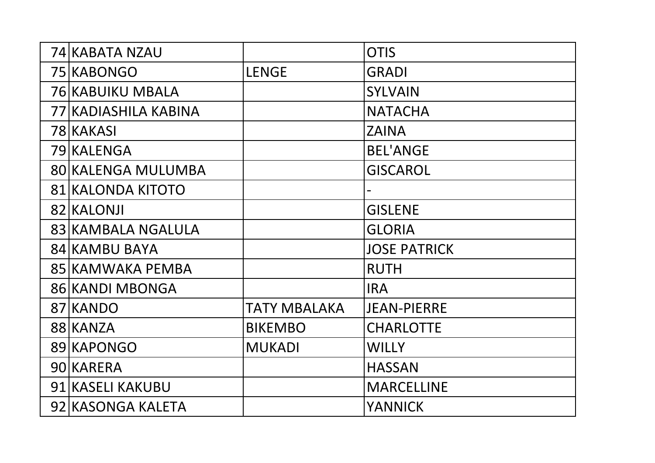| 74 KABATA NZAU          |                | <b>OTIS</b>         |
|-------------------------|----------------|---------------------|
| 75 KABONGO              | <b>LENGE</b>   | <b>GRADI</b>        |
| <b>76 KABUIKU MBALA</b> |                | <b>SYLVAIN</b>      |
| 77 KADIASHILA KABINA    |                | <b>NATACHA</b>      |
| 78 KAKASI               |                | <b>ZAINA</b>        |
| 79 KALENGA              |                | <b>BEL'ANGE</b>     |
| 80 KALENGA MULUMBA      |                | <b>GISCAROL</b>     |
| 81 KALONDA KITOTO       |                |                     |
| 82 KALONJI              |                | <b>GISLENE</b>      |
| 83 KAMBALA NGALULA      |                | <b>GLORIA</b>       |
| 84 KAMBU BAYA           |                | <b>JOSE PATRICK</b> |
| 85 KAMWAKA PEMBA        |                | <b>RUTH</b>         |
| 86 KANDI MBONGA         |                | <b>IRA</b>          |
| 87 KANDO                | TATY MBALAKA   | <b>JEAN-PIERRE</b>  |
| 88 KANZA                | <b>BIKEMBO</b> | <b>CHARLOTTE</b>    |
| 89 KAPONGO              | <b>MUKADI</b>  | <b>WILLY</b>        |
| 90 KARERA               |                | <b>HASSAN</b>       |
| 91 KASELI KAKUBU        |                | <b>MARCELLINE</b>   |
| 92 KASONGA KALETA       |                | <b>YANNICK</b>      |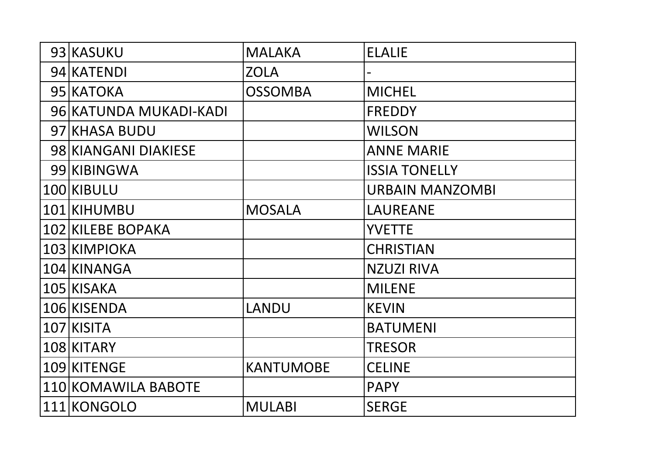| 93 KASUKU              | <b>MALAKA</b>    | <b>ELALIE</b>          |
|------------------------|------------------|------------------------|
| 94 KATENDI             | <b>ZOLA</b>      |                        |
| 95 KATOKA              | <b>OSSOMBA</b>   | <b>MICHEL</b>          |
| 96 KATUNDA MUKADI-KADI |                  | <b>FREDDY</b>          |
| 97 KHASA BUDU          |                  | <b>WILSON</b>          |
| 98 KIANGANI DIAKIESE   |                  | <b>ANNE MARIE</b>      |
| 99 KIBINGWA            |                  | <b>ISSIA TONELLY</b>   |
| 100 KIBULU             |                  | <b>URBAIN MANZOMBI</b> |
| 101 KIHUMBU            | <b>MOSALA</b>    | <b>LAUREANE</b>        |
| 102 KILEBE BOPAKA      |                  | <b>YVETTE</b>          |
| 103 KIMPIOKA           |                  | <b>CHRISTIAN</b>       |
| 104 KINANGA            |                  | <b>NZUZI RIVA</b>      |
| 105 KISAKA             |                  | <b>MILENE</b>          |
| 106 KISENDA            | LANDU            | <b>KEVIN</b>           |
| 107 KISITA             |                  | <b>BATUMENI</b>        |
| 108 KITARY             |                  | <b>TRESOR</b>          |
| 109 KITENGE            | <b>KANTUMOBE</b> | <b>CELINE</b>          |
| 110 KOMAWILA BABOTE    |                  | <b>PAPY</b>            |
| 111 KONGOLO            | <b>MULABI</b>    | <b>SERGE</b>           |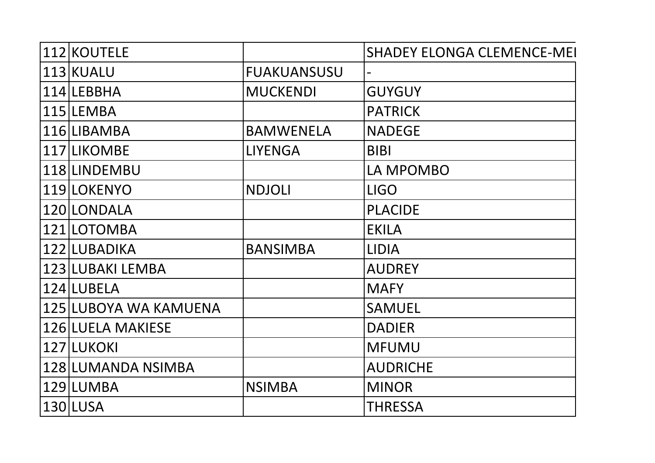| 112 KOUTELE           |                    | <b>SHADEY ELONGA CLEMENCE-MEI</b> |
|-----------------------|--------------------|-----------------------------------|
| 113 KUALU             | <b>FUAKUANSUSU</b> |                                   |
| 114 LEBBHA            | <b>MUCKENDI</b>    | <b>GUYGUY</b>                     |
| 115 LEMBA             |                    | <b>PATRICK</b>                    |
| 116 LIBAMBA           | <b>BAMWENELA</b>   | <b>NADEGE</b>                     |
| 117 LIKOMBE           | <b>LIYENGA</b>     | <b>BIBI</b>                       |
| 118 LINDEMBU          |                    | LA MPOMBO                         |
| 119 LOKENYO           | <b>NDJOLI</b>      | <b>LIGO</b>                       |
| 120 LONDALA           |                    | <b>PLACIDE</b>                    |
| 121 LOTOMBA           |                    | <b>EKILA</b>                      |
| 122 LUBADIKA          | <b>BANSIMBA</b>    | <b>LIDIA</b>                      |
| 123 LUBAKI LEMBA      |                    | <b>AUDREY</b>                     |
| 124 LUBELA            |                    | <b>MAFY</b>                       |
| 125 LUBOYA WA KAMUENA |                    | <b>SAMUEL</b>                     |
| 126 LUELA MAKIESE     |                    | <b>DADIER</b>                     |
| 127 LUKOKI            |                    | <b>MFUMU</b>                      |
| 128 LUMANDA NSIMBA    |                    | <b>AUDRICHE</b>                   |
| 129 LUMBA             | <b>NSIMBA</b>      | <b>MINOR</b>                      |
| 130 LUSA              |                    | <b>THRESSA</b>                    |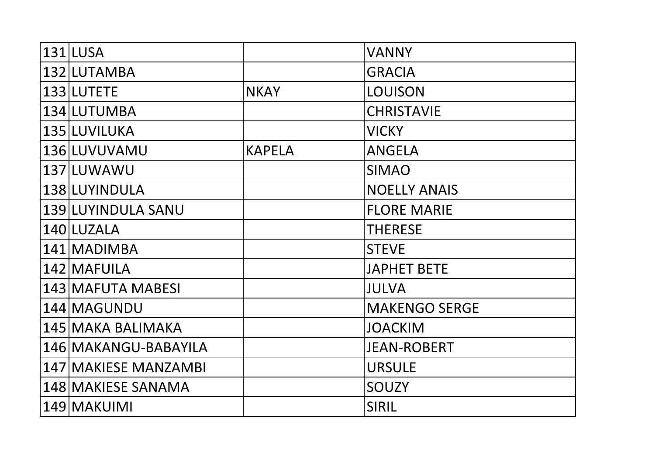| 131 LUSA             |               | <b>VANNY</b>         |  |
|----------------------|---------------|----------------------|--|
| 132 LUTAMBA          |               | <b>GRACIA</b>        |  |
| 133 LUTETE           | <b>NKAY</b>   | <b>LOUISON</b>       |  |
| 134 LUTUMBA          |               | <b>CHRISTAVIE</b>    |  |
| 135 ILUVILUKA        |               | <b>VICKY</b>         |  |
| 136 LUVUVAMU         | <b>KAPELA</b> | <b>ANGELA</b>        |  |
| 137 LUWAWU           |               | <b>SIMAO</b>         |  |
| 138 LUYINDULA        |               | <b>NOELLY ANAIS</b>  |  |
| 139 LUYINDULA SANU   |               | <b>FLORE MARIE</b>   |  |
| 140 LUZALA           |               | <b>THERESE</b>       |  |
| 141 MADIMBA          |               | <b>STEVE</b>         |  |
| 142 MAFUILA          |               | <b>JAPHET BETE</b>   |  |
| 143 MAFUTA MABESI    |               | <b>JULVA</b>         |  |
| 144 MAGUNDU          |               | <b>MAKENGO SERGE</b> |  |
| 145 MAKA BALIMAKA    |               | <b>JOACKIM</b>       |  |
| 146 MAKANGU-BABAYILA |               | <b>JEAN-ROBERT</b>   |  |
| 147 MAKIESE MANZAMBI |               | <b>URSULE</b>        |  |
| 148 MAKIESE SANAMA   |               | <b>SOUZY</b>         |  |
| 149 MAKUIMI          |               | <b>SIRIL</b>         |  |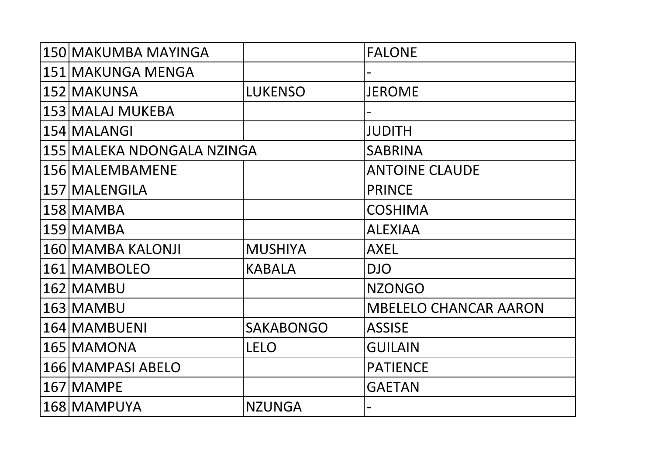| 150 MAKUMBA MAYINGA        |                  | <b>FALONE</b>                |
|----------------------------|------------------|------------------------------|
| 151 MAKUNGA MENGA          |                  |                              |
| 152 MAKUNSA                | <b>LUKENSO</b>   | <b>JEROME</b>                |
| 153 MALAJ MUKEBA           |                  |                              |
| 154 MALANGI                |                  | <b>JUDITH</b>                |
| 155 MALEKA NDONGALA NZINGA |                  | <b>SABRINA</b>               |
| 156 MALEMBAMENE            |                  | <b>ANTOINE CLAUDE</b>        |
| 157 MALENGILA              |                  | <b>PRINCE</b>                |
| 158 MAMBA                  |                  | <b>COSHIMA</b>               |
| 159 MAMBA                  |                  | <b>ALEXIAA</b>               |
| 160 MAMBA KALONJI          | <b>MUSHIYA</b>   | <b>AXEL</b>                  |
| 161 MAMBOLEO               | <b>KABALA</b>    | <b>DJO</b>                   |
| 162 MAMBU                  |                  | <b>NZONGO</b>                |
| 163 MAMBU                  |                  | <b>MBELELO CHANCAR AARON</b> |
| 164 MAMBUENI               | <b>SAKABONGO</b> | <b>ASSISE</b>                |
| 165 MAMONA                 | <b>LELO</b>      | <b>GUILAIN</b>               |
| 166 MAMPASI ABELO          |                  | <b>PATIENCE</b>              |
| 167 MAMPE                  |                  | <b>GAETAN</b>                |
| 168 MAMPUYA                | <b>NZUNGA</b>    | -                            |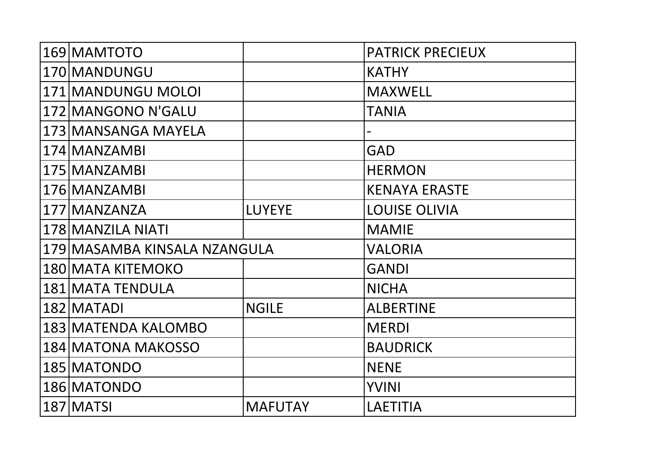| 169 MAMTOTO                  |                | <b>PATRICK PRECIEUX</b> |  |
|------------------------------|----------------|-------------------------|--|
| 170 MANDUNGU                 |                | <b>KATHY</b>            |  |
|                              |                |                         |  |
| 171 MANDUNGU MOLOI           |                | <b>MAXWELL</b>          |  |
| 172 MANGONO N'GALU           |                | <b>TANIA</b>            |  |
| 173 MANSANGA MAYELA          |                |                         |  |
| 174 MANZAMBI                 |                | <b>GAD</b>              |  |
| 175 MANZAMBI                 |                | <b>HERMON</b>           |  |
| 176 MANZAMBI                 |                | <b>KENAYA ERASTE</b>    |  |
| 177 MANZANZA                 | <b>LUYEYE</b>  | <b>LOUISE OLIVIA</b>    |  |
| 178 MANZILA NIATI            |                | <b>MAMIE</b>            |  |
| 179 MASAMBA KINSALA NZANGULA |                | <b>VALORIA</b>          |  |
| 180 MATA KITEMOKO            |                | <b>GANDI</b>            |  |
| 181 MATA TENDULA             |                | <b>NICHA</b>            |  |
| 182 MATADI                   | <b>NGILE</b>   | <b>ALBERTINE</b>        |  |
| 183 MATENDA KALOMBO          |                | <b>MERDI</b>            |  |
| 184 MATONA MAKOSSO           |                | <b>BAUDRICK</b>         |  |
| 185 MATONDO                  |                | <b>NENE</b>             |  |
| 186 MATONDO                  |                | <b>YVINI</b>            |  |
| 187 MATSI                    | <b>MAFUTAY</b> | <b>LAETITIA</b>         |  |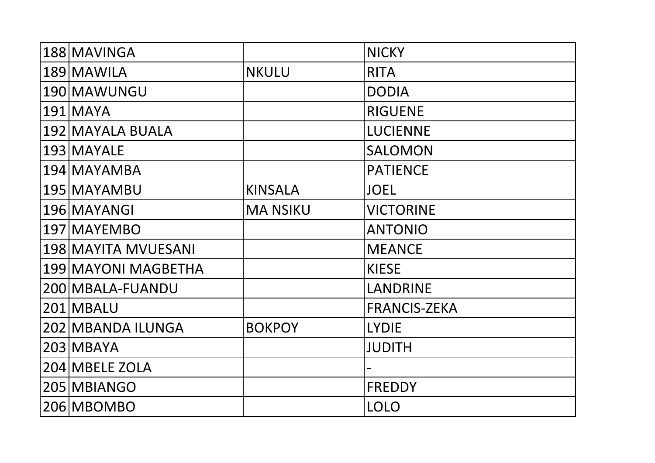|            | 188 MAVINGA         |                 | <b>NICKY</b>        |
|------------|---------------------|-----------------|---------------------|
| 189 MAWILA |                     | <b>NKULU</b>    | <b>RITA</b>         |
|            | 190 MAWUNGU         |                 | <b>DODIA</b>        |
| 191   MAYA |                     |                 | <b>RIGUENE</b>      |
|            | 192 MAYALA BUALA    |                 | <b>LUCIENNE</b>     |
| 193 MAYALE |                     |                 | <b>SALOMON</b>      |
|            | 194 MAYAMBA         |                 | <b>PATIENCE</b>     |
|            | 195 MAYAMBU         | <b>KINSALA</b>  | <b>JOEL</b>         |
|            | 196 MAYANGI         | <b>MA NSIKU</b> | <b>VICTORINE</b>    |
|            | 197 MAYEMBO         |                 | <b>ANTONIO</b>      |
|            | 198 MAYITA MVUESANI |                 | <b>MEANCE</b>       |
|            | 199 MAYONI MAGBETHA |                 | <b>KIESE</b>        |
|            | 200 MBALA-FUANDU    |                 | <b>LANDRINE</b>     |
| 201 MBALU  |                     |                 | <b>FRANCIS-ZEKA</b> |
|            | 202 MBANDA ILUNGA   | <b>BOKPOY</b>   | <b>LYDIE</b>        |
| 203 MBAYA  |                     |                 | <b>JUDITH</b>       |
|            | 204 MBELE ZOLA      |                 |                     |
|            | 205 MBIANGO         |                 | <b>FREDDY</b>       |
|            | 206 MBOMBO          |                 | <b>LOLO</b>         |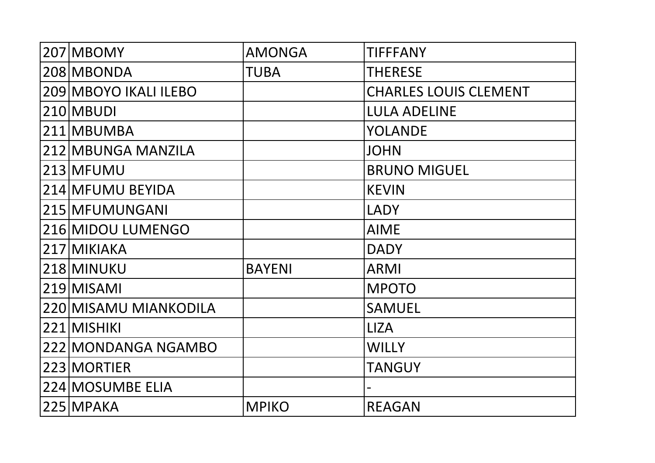| 207 MBOMY             | <b>AMONGA</b> | <b>TIFFFANY</b>              |
|-----------------------|---------------|------------------------------|
| 208 MBONDA            | <b>TUBA</b>   | <b>THERESE</b>               |
| 209 MBOYO IKALI ILEBO |               | <b>CHARLES LOUIS CLEMENT</b> |
| 210 MBUDI             |               | <b>LULA ADELINE</b>          |
| 211 MBUMBA            |               | <b>YOLANDE</b>               |
| 212 MBUNGA MANZILA    |               | <b>JOHN</b>                  |
| 213 MFUMU             |               | <b>BRUNO MIGUEL</b>          |
| 214 MFUMU BEYIDA      |               | <b>KEVIN</b>                 |
| 215 MFUMUNGANI        |               | <b>LADY</b>                  |
| 216 MIDOU LUMENGO     |               | <b>AIME</b>                  |
| 217 MIKIAKA           |               | <b>DADY</b>                  |
| 218 MINUKU            | <b>BAYENI</b> | <b>ARMI</b>                  |
| 219 MISAMI            |               | <b>MPOTO</b>                 |
| 220 MISAMU MIANKODILA |               | <b>SAMUEL</b>                |
| 221 MISHIKI           |               | <b>LIZA</b>                  |
| 222 MONDANGA NGAMBO   |               | <b>WILLY</b>                 |
| 223 MORTIER           |               | <b>TANGUY</b>                |
| 224 MOSUMBE ELIA      |               |                              |
| 225 MPAKA             | <b>MPIKO</b>  | <b>REAGAN</b>                |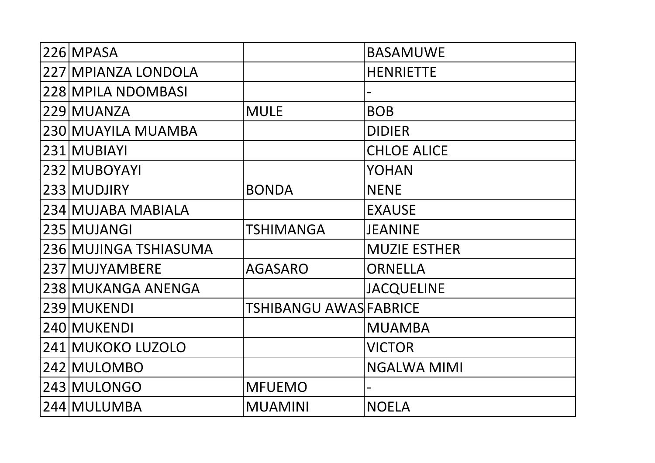| 226 MPASA             |                        | <b>BASAMUWE</b>     |
|-----------------------|------------------------|---------------------|
| 227 MPIANZA LONDOLA   |                        | <b>HENRIETTE</b>    |
| 228 MPILA NDOMBASI    |                        |                     |
| 229 MUANZA            | <b>MULE</b>            | <b>BOB</b>          |
| 230 MUAYILA MUAMBA    |                        | <b>DIDIER</b>       |
| 231 MUBIAYI           |                        | <b>CHLOE ALICE</b>  |
| 232 MUBOYAYI          |                        | YOHAN               |
| 233 MUDJIRY           | <b>BONDA</b>           | <b>NENE</b>         |
| 234 MUJABA MABIALA    |                        | <b>EXAUSE</b>       |
| 235 MUJANGI           | <b>TSHIMANGA</b>       | <b>JEANINE</b>      |
| 236 MUJINGA TSHIASUMA |                        | <b>MUZIE ESTHER</b> |
| 237 MUJYAMBERE        | <b>AGASARO</b>         | <b>ORNELLA</b>      |
| 238 MUKANGA ANENGA    |                        | <b>JACQUELINE</b>   |
| 239 MUKENDI           | TSHIBANGU AWAS FABRICE |                     |
| 240 MUKENDI           |                        | <b>MUAMBA</b>       |
| 241 MUKOKO LUZOLO     |                        | <b>VICTOR</b>       |
| 242 MULOMBO           |                        | <b>NGALWA MIMI</b>  |
| 243 MULONGO           | <b>MFUEMO</b>          |                     |
| 244 MULUMBA           | <b>MUAMINI</b>         | <b>NOELA</b>        |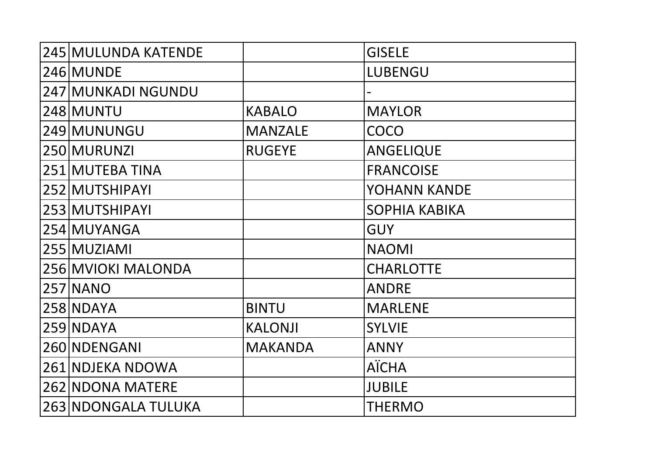| 245 MULUNDA KATENDE        |                | <b>GISELE</b>        |  |
|----------------------------|----------------|----------------------|--|
| 246 MUNDE                  |                | <b>LUBENGU</b>       |  |
| 247 MUNKADI NGUNDU         |                |                      |  |
| 248 MUNTU                  | <b>KABALO</b>  | <b>MAYLOR</b>        |  |
| 249 MUNUNGU                | <b>MANZALE</b> | <b>COCO</b>          |  |
| 250 MURUNZI                | <b>RUGEYE</b>  | <b>ANGELIQUE</b>     |  |
| 251 MUTEBA TINA            |                | <b>FRANCOISE</b>     |  |
| 252 MUTSHIPAYI             |                | YOHANN KANDE         |  |
| 253 MUTSHIPAYI             |                | <b>SOPHIA KABIKA</b> |  |
| 254 MUYANGA                |                | <b>GUY</b>           |  |
| 255 MUZIAMI                |                | <b>NAOMI</b>         |  |
| 256 MVIOKI MALONDA         |                | <b>CHARLOTTE</b>     |  |
| 257 NANO                   |                | <b>ANDRE</b>         |  |
| 258 NDAYA                  | <b>BINTU</b>   | <b>MARLENE</b>       |  |
| 259 NDAYA                  | <b>KALONJI</b> | <b>SYLVIE</b>        |  |
| 260 NDENGANI               | <b>MAKANDA</b> | <b>ANNY</b>          |  |
| 261 NDJEKA NDOWA           |                | AÏCHA                |  |
| <b>262 NDONA MATERE</b>    |                | <b>JUBILE</b>        |  |
| <b>263 NDONGALA TULUKA</b> |                | <b>THERMO</b>        |  |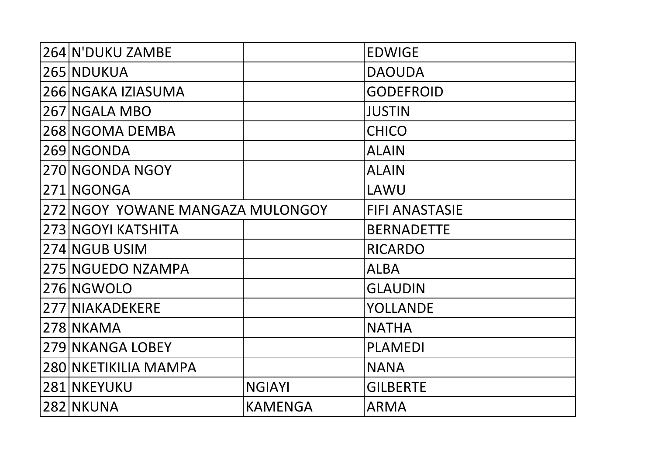| 264 N'DUKU ZAMBE                 |                | <b>EDWIGE</b>         |
|----------------------------------|----------------|-----------------------|
| 265 NDUKUA                       |                | <b>DAOUDA</b>         |
| 266 NGAKA IZIASUMA               |                | <b>GODEFROID</b>      |
| 267 NGALA MBO                    |                | <b>JUSTIN</b>         |
| 268 NGOMA DEMBA                  |                | <b>CHICO</b>          |
| 269 NGONDA                       |                | <b>ALAIN</b>          |
| 270 NGONDA NGOY                  |                | <b>ALAIN</b>          |
| 271 NGONGA                       |                | LAWU                  |
| 272 NGOY YOWANE MANGAZA MULONGOY |                | <b>FIFI ANASTASIE</b> |
| 273 NGOYI KATSHITA               |                | <b>BERNADETTE</b>     |
| 274 NGUB USIM                    |                | <b>RICARDO</b>        |
| 275 NGUEDO NZAMPA                |                | <b>ALBA</b>           |
| 276 NGWOLO                       |                | <b>GLAUDIN</b>        |
| 277 NIAKADEKERE                  |                | <b>YOLLANDE</b>       |
| 278 NKAMA                        |                | <b>NATHA</b>          |
| 279 NKANGA LOBEY                 |                | <b>PLAMEDI</b>        |
| 280 NKETIKILIA MAMPA             |                | <b>NANA</b>           |
| 281 NKEYUKU                      | <b>NGIAYI</b>  | <b>GILBERTE</b>       |
| 282 NKUNA                        | <b>KAMENGA</b> | <b>ARMA</b>           |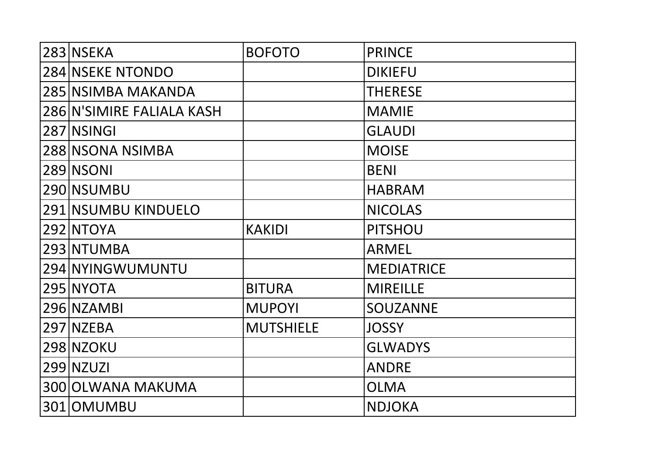| 283 NSEKA                 | <b>BOFOTO</b>    | <b>PRINCE</b>     |
|---------------------------|------------------|-------------------|
| <b>284 NSEKE NTONDO</b>   |                  | <b>DIKIEFU</b>    |
| 285 NSIMBA MAKANDA        |                  | <b>THERESE</b>    |
| 286 N'SIMIRE FALIALA KASH |                  | <b>MAMIE</b>      |
| 287 NSINGI                |                  | <b>GLAUDI</b>     |
| 288 NSONA NSIMBA          |                  | <b>MOISE</b>      |
| 289 NSONI                 |                  | <b>BENI</b>       |
| 290 NSUMBU                |                  | <b>HABRAM</b>     |
| 291 NSUMBU KINDUELO       |                  | <b>NICOLAS</b>    |
| 292 NTOYA                 | <b>KAKIDI</b>    | <b>PITSHOU</b>    |
| 293 NTUMBA                |                  | <b>ARMEL</b>      |
| 294 NYINGWUMUNTU          |                  | <b>MEDIATRICE</b> |
| 295 NYOTA                 | <b>BITURA</b>    | <b>MIREILLE</b>   |
| 296 NZAMBI                | <b>MUPOYI</b>    | <b>SOUZANNE</b>   |
| 297 NZEBA                 | <b>MUTSHIELE</b> | <b>JOSSY</b>      |
| 298 NZOKU                 |                  | <b>GLWADYS</b>    |
| <b>299 NZUZI</b>          |                  | <b>ANDRE</b>      |
| <b>300 OLWANA MAKUMA</b>  |                  | <b>OLMA</b>       |
| 301   OMUMBU              |                  | <b>NDJOKA</b>     |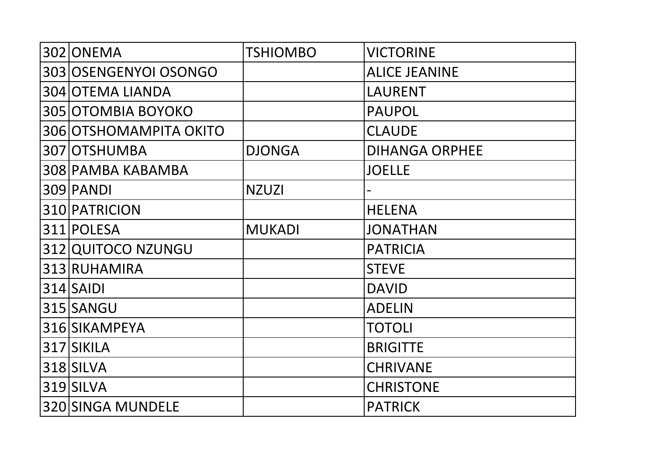| 302 ONEMA                | <b>TSHIOMBO</b> | <b>VICTORINE</b>      |
|--------------------------|-----------------|-----------------------|
| 303 OSENGENYOI OSONGO    |                 | <b>ALICE JEANINE</b>  |
| <b>304 OTEMA LIANDA</b>  |                 | <b>LAURENT</b>        |
| 305 OTOMBIA BOYOKO       |                 | <b>PAUPOL</b>         |
| 306 OTSHOMAMPITA OKITO   |                 | <b>CLAUDE</b>         |
| 307 OTSHUMBA             | <b>DJONGA</b>   | <b>DIHANGA ORPHEE</b> |
| 308 PAMBA KABAMBA        |                 | <b>JOELLE</b>         |
| 309 PANDI                | <b>NZUZI</b>    |                       |
| 310 PATRICION            |                 | <b>HELENA</b>         |
| 311 POLESA               | <b>MUKADI</b>   | <b>JONATHAN</b>       |
| 312 QUITOCO NZUNGU       |                 | <b>PATRICIA</b>       |
| 313 RUHAMIRA             |                 | <b>STEVE</b>          |
| 314 SAIDI                |                 | <b>DAVID</b>          |
| 315 SANGU                |                 | <b>ADELIN</b>         |
| 316 SIKAMPEYA            |                 | <b>TOTOLI</b>         |
| 317 SIKILA               |                 | <b>BRIGITTE</b>       |
| 318 SILVA                |                 | <b>CHRIVANE</b>       |
| 319 SILVA                |                 | <b>CHRISTONE</b>      |
| <b>320 SINGA MUNDELE</b> |                 | <b>PATRICK</b>        |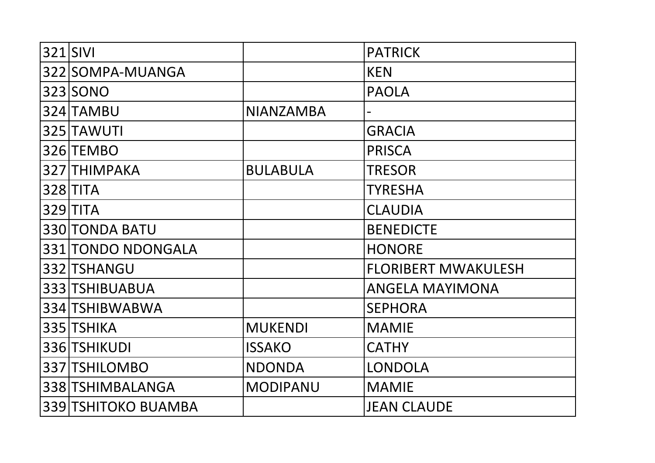| 321 SIVI              |                  | <b>PATRICK</b>             |
|-----------------------|------------------|----------------------------|
| 322 SOMPA-MUANGA      |                  | <b>KEN</b>                 |
| 323 SONO              |                  | <b>PAOLA</b>               |
| 324 TAMBU             | <b>NIANZAMBA</b> |                            |
| 325 TAWUTI            |                  | <b>GRACIA</b>              |
| 326 TEMBO             |                  | <b>PRISCA</b>              |
| 327 THIMPAKA          | <b>BULABULA</b>  | <b>TRESOR</b>              |
| 328 TITA              |                  | <b>TYRESHA</b>             |
| 329 TITA              |                  | <b>CLAUDIA</b>             |
| <b>330 TONDA BATU</b> |                  | <b>BENEDICTE</b>           |
| 331 TONDO NDONGALA    |                  | <b>HONORE</b>              |
| 332 TSHANGU           |                  | <b>FLORIBERT MWAKULESH</b> |
| 333 TSHIBUABUA        |                  | <b>ANGELA MAYIMONA</b>     |
| 334 TSHIBWABWA        |                  | <b>SEPHORA</b>             |
| 335 TSHIKA            | <b>MUKENDI</b>   | <b>MAMIE</b>               |
| 336 TSHIKUDI          | <b>ISSAKO</b>    | <b>CATHY</b>               |
| 337 TSHILOMBO         | <b>NDONDA</b>    | <b>LONDOLA</b>             |
| 338 TSHIMBALANGA      | <b>MODIPANU</b>  | <b>MAMIE</b>               |
| 339 TSHITOKO BUAMBA   |                  | <b>JEAN CLAUDE</b>         |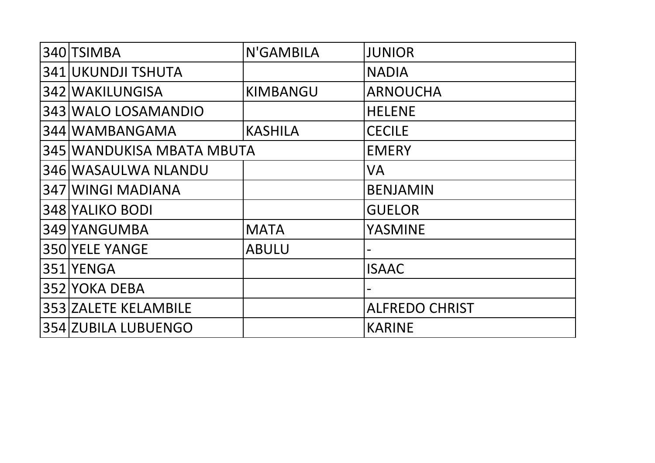| 340 TSIMBA                 | N'GAMBILA       | <b>JUNIOR</b>         |
|----------------------------|-----------------|-----------------------|
| <b>341 UKUNDJI TSHUTA</b>  |                 | <b>NADIA</b>          |
| 342 WAKILUNGISA            | <b>KIMBANGU</b> | <b>ARNOUCHA</b>       |
| 343 WALO LOSAMANDIO        |                 | <b>HELENE</b>         |
| 344 WAMBANGAMA             | <b>KASHILA</b>  | <b>CECILE</b>         |
| 345 WANDUKISA MBATA MBUTA  |                 | <b>EMERY</b>          |
| 346 WASAULWA NLANDU        |                 | <b>VA</b>             |
| 347 WINGI MADIANA          |                 | <b>BENJAMIN</b>       |
| <b>348 YALIKO BODI</b>     |                 | <b>GUELOR</b>         |
| 349 YANGUMBA               | <b>MATA</b>     | <b>YASMINE</b>        |
| <b>350 YELE YANGE</b>      | <b>ABULU</b>    |                       |
| 351 YENGA                  |                 | <b>ISAAC</b>          |
| 352 YOKA DEBA              |                 |                       |
| 353 ZALETE KELAMBILE       |                 | <b>ALFREDO CHRIST</b> |
| <b>354 ZUBILA LUBUENGO</b> |                 | <b>KARINE</b>         |